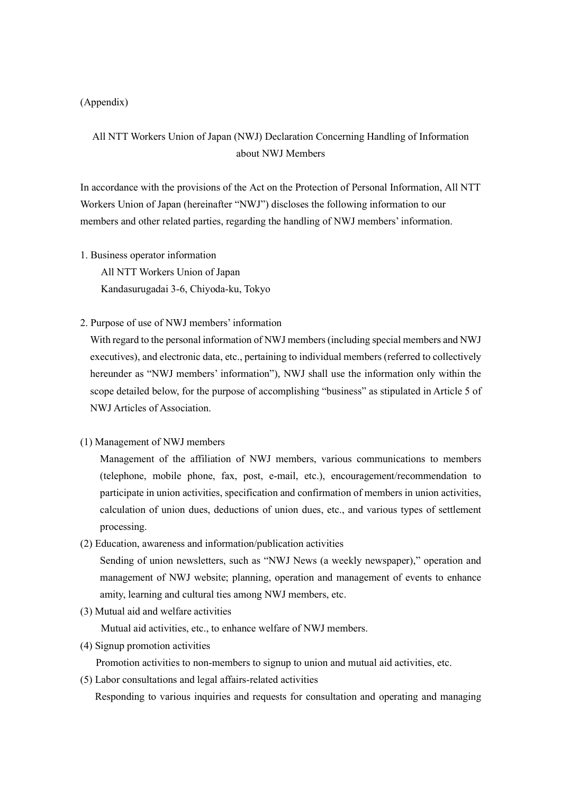## (Appendix)

# All NTT Workers Union of Japan (NWJ) Declaration Concerning Handling of Information about NWJ Members

In accordance with the provisions of the Act on the Protection of Personal Information, All NTT Workers Union of Japan (hereinafter "NWJ") discloses the following information to our members and other related parties, regarding the handling of NWJ members' information.

- 1. Business operator information All NTT Workers Union of Japan Kandasurugadai 3-6, Chiyoda-ku, Tokyo
- 2. Purpose of use of NWJ members' information

With regard to the personal information of NWJ members (including special members and NWJ executives), and electronic data, etc., pertaining to individual members (referred to collectively hereunder as "NWJ members' information"), NWJ shall use the information only within the scope detailed below, for the purpose of accomplishing "business" as stipulated in Article 5 of NWJ Articles of Association.

(1) Management of NWJ members

Management of the affiliation of NWJ members, various communications to members (telephone, mobile phone, fax, post, e-mail, etc.), encouragement/recommendation to participate in union activities, specification and confirmation of members in union activities, calculation of union dues, deductions of union dues, etc., and various types of settlement processing.

(2) Education, awareness and information/publication activities

Sending of union newsletters, such as "NWJ News (a weekly newspaper)," operation and management of NWJ website; planning, operation and management of events to enhance amity, learning and cultural ties among NWJ members, etc.

(3) Mutual aid and welfare activities

Mutual aid activities, etc., to enhance welfare of NWJ members.

(4) Signup promotion activities

Promotion activities to non-members to signup to union and mutual aid activities, etc.

(5) Labor consultations and legal affairs-related activities

Responding to various inquiries and requests for consultation and operating and managing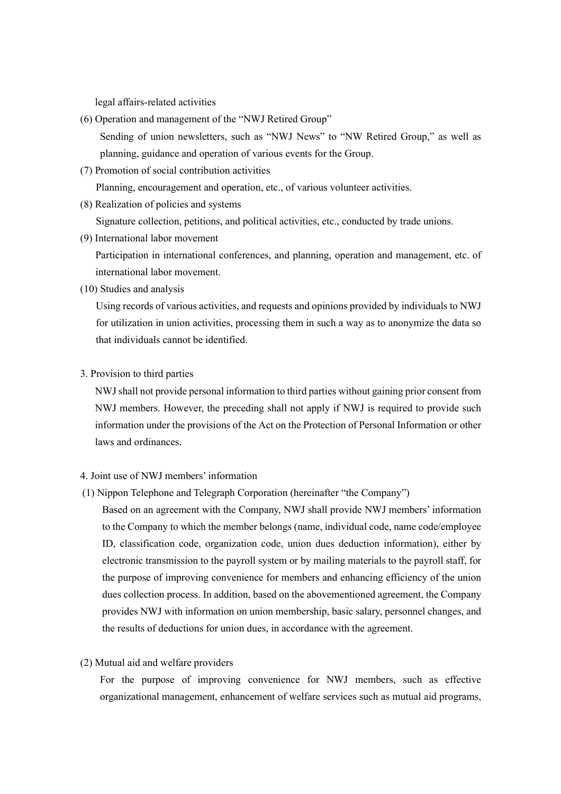legal affairs-related activities

- $(6)$  Operation and management of the "NWJ Retired Group" Sending of union newsletters, such as "NWJ News" to "NW Retired Group," as well as planning, guidance and operation of various events for the Group.
- (7) Promotion of social contribution activities

Planning, encouragement and operation, etc., of various volunteer activities.

(8) Realization of policies and systems

Signature collection, petitions, and political activities, etc., conducted by trade unions.

(9) International labor movement

Participation in international conferences, and planning, operation and management, etc. of international labor movement.

(10) Studies and analysis

Using records of various activities, and requests and opinions provided by individuals to NWJ for utilization in union activities, processing them in such a way as to anonymize the data so that individuals cannot be identified.

3. Provision to third parties

NWJ shall not provide personal information to third parties without gaining prior consent from NWJ members. However, the preceding shall not apply if NWJ is required to provide such information under the provisions of the Act on the Protection of Personal Information or other laws and ordinances.

# 4. Joint use of NWJ members' information

(1) Nippon Telephone and Telegraph Corporation (hereinafter "the Company")

Based on an agreement with the Company, NWJ shall provide NWJ members' information to the Company to which the member belongs (name, individual code, name code/employee ID, classification code, organization code, union dues deduction information), either by electronic transmission to the payroll system or by mailing materials to the payroll staff, for the purpose of improving convenience for members and enhancing efficiency of the union dues collection process. In addition, based on the abovementioned agreement, the Company provides NWJ with information on union membership, basic salary, personnel changes, and the results of deductions for union dues, in accordance with the agreement.

#### (2) Mutual aid and welfare providers

For the purpose of improving convenience for NWJ members, such as effective organizational management, enhancement of welfare services such as mutual aid programs,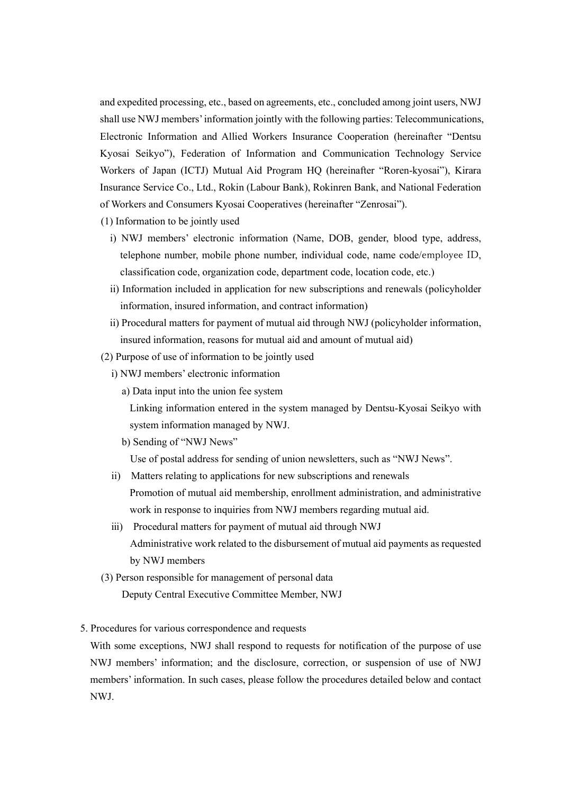and expedited processing, etc., based on agreements, etc., concluded among joint users, NWJ shall use NWJ members' information jointly with the following parties: Telecommunications, Electronic Information and Allied Workers Insurance Cooperation (hereinafter "Dentsu Kyosai Seikyoî), Federation of Information and Communication Technology Service Workers of Japan (ICTJ) Mutual Aid Program HQ (hereinafter "Roren-kyosai"), Kirara Insurance Service Co., Ltd., Rokin (Labour Bank), Rokinren Bank, and National Federation of Workers and Consumers Kyosai Cooperatives (hereinafter "Zenrosai").

- (1) Information to be jointly used
	- i) NWJ members' electronic information (Name, DOB, gender, blood type, address, telephone number, mobile phone number, individual code, name code/employee ID, classification code, organization code, department code, location code, etc.)
	- ii) Information included in application for new subscriptions and renewals (policyholder information, insured information, and contract information)
	- ii) Procedural matters for payment of mutual aid through NWJ (policyholder information, insured information, reasons for mutual aid and amount of mutual aid)
- (2) Purpose of use of information to be jointly used
	- i) NWJ members' electronic information
		- a) Data input into the union fee system

Linking information entered in the system managed by Dentsu-Kyosai Seikyo with system information managed by NWJ.

b) Sending of "NWJ News"

Use of postal address for sending of union newsletters, such as "NWJ News".

- ii) Matters relating to applications for new subscriptions and renewals Promotion of mutual aid membership, enrollment administration, and administrative work in response to inquiries from NWJ members regarding mutual aid.
- ) Procedural matters for payment of mutual aid through NWJ Administrative work related to the disbursement of mutual aid payments as requested by NWJ members
- (3) Person responsible for management of personal data Deputy Central Executive Committee Member, NWJ

### 5. Procedures for various correspondence and requests

With some exceptions, NWJ shall respond to requests for notification of the purpose of use NWJ membersí information; and the disclosure, correction, or suspension of use of NWJ members' information. In such cases, please follow the procedures detailed below and contact NWJ.